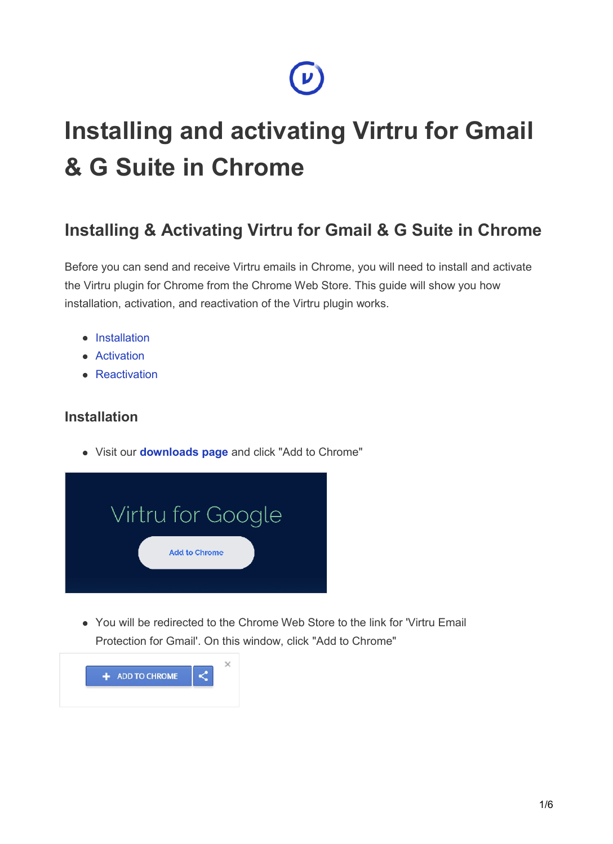# **Installing and activating Virtru for Gmail & G Suite in Chrome**

 $\boldsymbol{\nu}$ 

## **Installing & Activating Virtru for Gmail & G Suite in Chrome**

Before you can send and receive Virtru emails in Chrome, you will need to install and activate the Virtru plugin for Chrome from the Chrome Web Store. This guide will show you how installation, activation, and reactivation of the Virtru plugin works.

- Installation
- **•** Activation
- Reactivation

#### **Installation**

Visit our **[downloads page](https://www.virtru.com/install)** and click "Add to Chrome"



You will be redirected to the Chrome Web Store to the link for 'Virtru Email Protection for Gmail'. On this window, click "Add to Chrome"

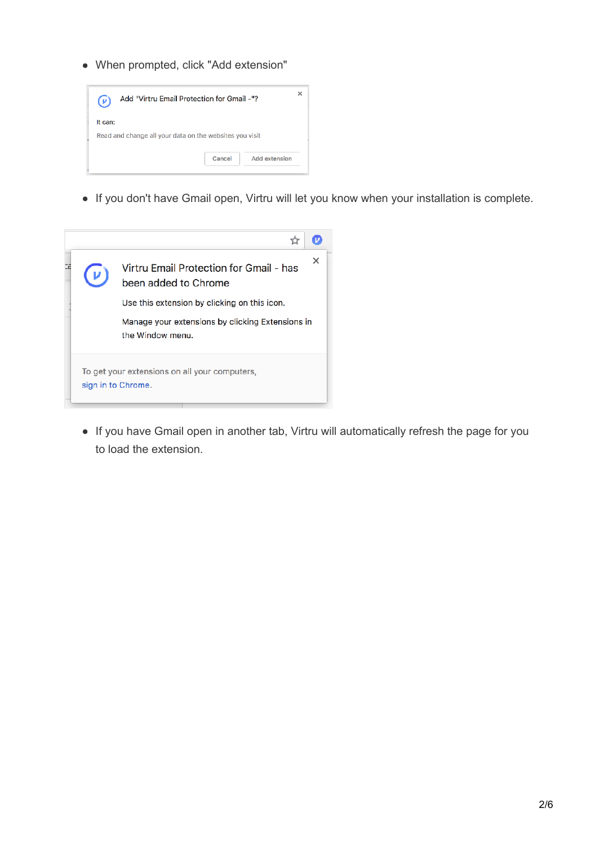When prompted, click "Add extension"



If you don't have Gmail open, Virtru will let you know when your installation is complete.

| ΩE |                                                                     | Virtru Email Protection for Gmail - has<br>been added to Chrome      | $\times$ |  |  |
|----|---------------------------------------------------------------------|----------------------------------------------------------------------|----------|--|--|
|    | Use this extension by clicking on this icon.                        |                                                                      |          |  |  |
|    |                                                                     | Manage your extensions by clicking Extensions in<br>the Window menu. |          |  |  |
|    | To get your extensions on all your computers,<br>sign in to Chrome. |                                                                      |          |  |  |

• If you have Gmail open in another tab, Virtru will automatically refresh the page for you to load the extension.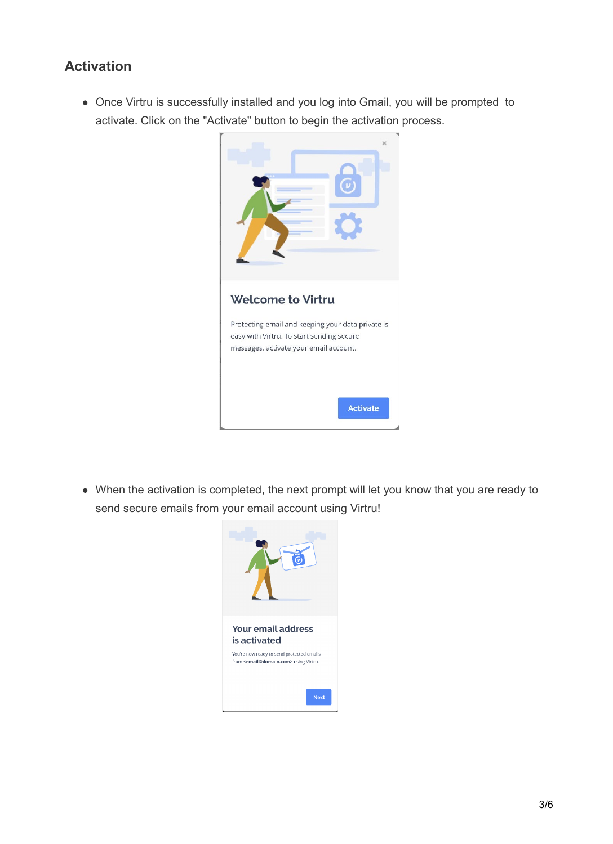#### **Activation**

Once Virtru is successfully installed and you log into Gmail, you will be prompted to activate. Click on the "Activate" button to begin the activation process.



When the activation is completed, the next prompt will let you know that you are ready to send secure emails from your email account using Virtru!

| <b>Your email address</b><br>is activated                                                             |
|-------------------------------------------------------------------------------------------------------|
| You're now ready to send protected emails<br>from <email@domain.com> using Virtru.</email@domain.com> |
| <b>Next</b>                                                                                           |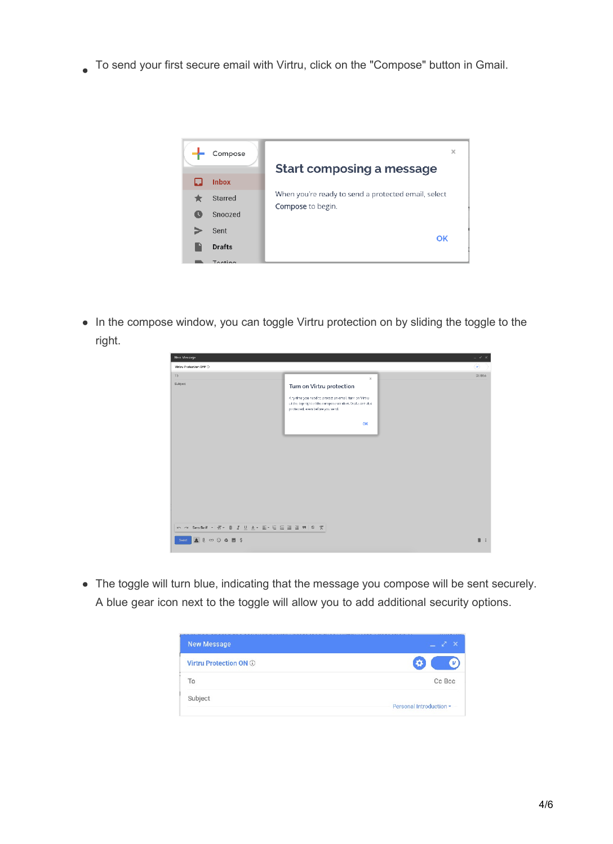To send your first secure email with Virtru, click on the "Compose" button in Gmail.



• In the compose window, you can toggle Virtru protection on by sliding the toggle to the right.

| New Message                                      |                                                                                                                                                                                          | $-$ * $\times$   |
|--------------------------------------------------|------------------------------------------------------------------------------------------------------------------------------------------------------------------------------------------|------------------|
| Virtru Protection OFF                            |                                                                                                                                                                                          | $\circledast$    |
| To:                                              | $\times$                                                                                                                                                                                 | De Boe           |
| Subject                                          | Turn on Virtru protection<br>Any time you need to protect an email, turn on Virtru-<br>at the top right of the compose window. Drafts are also<br>protected, even before you send.<br>OK |                  |
| い ペ Sans Serif ▼ T + B I U A + E + E 三 三 三 円 り 文 |                                                                                                                                                                                          |                  |
| Send                                             |                                                                                                                                                                                          | $\blacksquare$ : |

The toggle will turn blue, indicating that the message you compose will be sent securely. A blue gear icon next to the toggle will allow you to add additional security options.

| New Message            |                         |
|------------------------|-------------------------|
| Virtru Protection ON ® | o                       |
| Τo                     | Cc Bcc                  |
| Subject                | Personal Introduction - |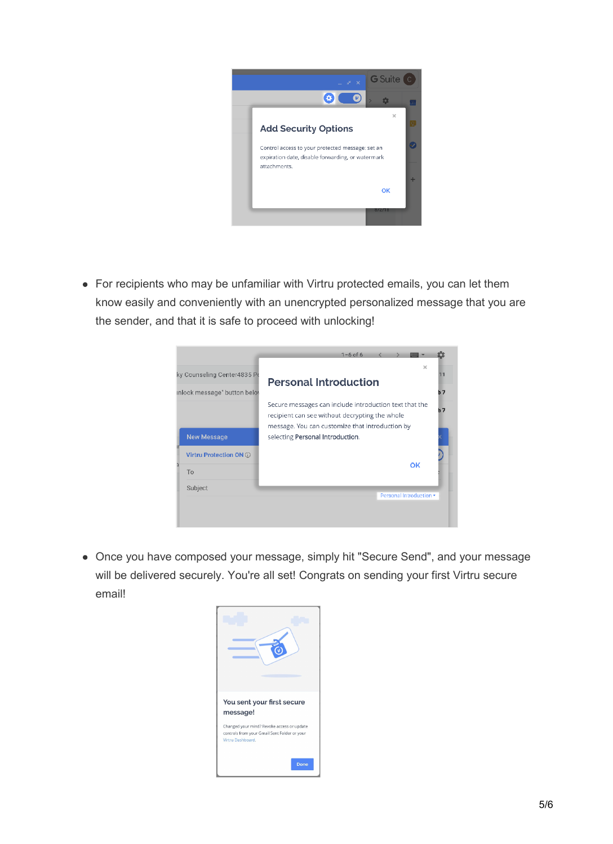

For recipients who may be unfamiliar with Virtru protected emails, you can let them know easily and conveniently with an unencrypted personalized message that you are the sender, and that it is safe to proceed with unlocking!

| ky Counseling Center4835 Po<br>inlock message" button belov | $1 - 6$ of 6<br>$\times$<br><b>Personal Introduction</b>                                                                                                                                        | 11<br>b7 |
|-------------------------------------------------------------|-------------------------------------------------------------------------------------------------------------------------------------------------------------------------------------------------|----------|
| <b>New Message</b>                                          | Secure messages can include introduction text that the<br>recipient can see without decrypting the whole<br>message. You can customize that introduction by<br>selecting Personal Introduction. | h 7      |
| Virtru Protection ON (i)<br>ā<br>To<br>Subject              | ОK<br>Personal Introduction -                                                                                                                                                                   |          |

Once you have composed your message, simply hit "Secure Send", and your message will be delivered securely. You're all set! Congrats on sending your first Virtru secure email!